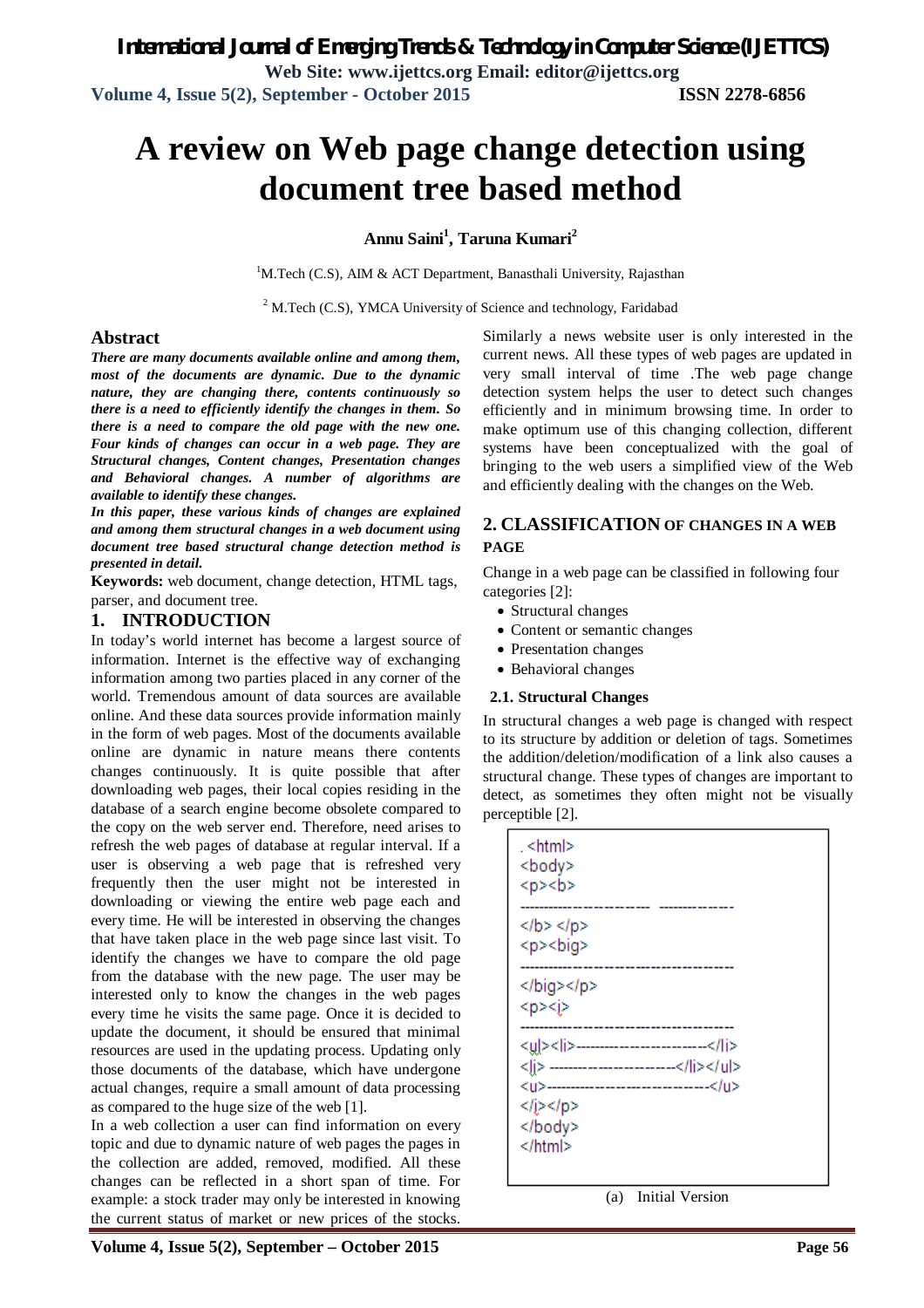# **A review on Web page change detection using document tree based method**

# **Annu Saini<sup>1</sup> , Taruna Kumari<sup>2</sup>**

<sup>1</sup>M.Tech (C.S), AIM & ACT Department, Banasthali University, Rajasthan

<sup>2</sup> M.Tech (C.S), YMCA University of Science and technology, Faridabad

#### **Abstract**

*There are many documents available online and among them, most of the documents are dynamic. Due to the dynamic nature, they are changing there, contents continuously so there is a need to efficiently identify the changes in them. So there is a need to compare the old page with the new one. Four kinds of changes can occur in a web page. They are Structural changes, Content changes, Presentation changes and Behavioral changes. A number of algorithms are available to identify these changes.* 

*In this paper, these various kinds of changes are explained and among them structural changes in a web document using document tree based structural change detection method is presented in detail.*

**Keywords:** web document, change detection, HTML tags, parser, and document tree.

#### **1. INTRODUCTION**

In today's world internet has become a largest source of information. Internet is the effective way of exchanging information among two parties placed in any corner of the world. Tremendous amount of data sources are available online. And these data sources provide information mainly in the form of web pages. Most of the documents available online are dynamic in nature means there contents changes continuously. It is quite possible that after downloading web pages, their local copies residing in the database of a search engine become obsolete compared to the copy on the web server end. Therefore, need arises to refresh the web pages of database at regular interval. If a user is observing a web page that is refreshed very frequently then the user might not be interested in downloading or viewing the entire web page each and every time. He will be interested in observing the changes that have taken place in the web page since last visit. To identify the changes we have to compare the old page from the database with the new page. The user may be interested only to know the changes in the web pages every time he visits the same page. Once it is decided to update the document, it should be ensured that minimal resources are used in the updating process. Updating only those documents of the database, which have undergone actual changes, require a small amount of data processing as compared to the huge size of the web [1].

In a web collection a user can find information on every topic and due to dynamic nature of web pages the pages in the collection are added, removed, modified. All these changes can be reflected in a short span of time. For example: a stock trader may only be interested in knowing the current status of market or new prices of the stocks.

Similarly a news website user is only interested in the current news. All these types of web pages are updated in very small interval of time .The web page change detection system helps the user to detect such changes efficiently and in minimum browsing time. In order to make optimum use of this changing collection, different systems have been conceptualized with the goal of bringing to the web users a simplified view of the Web and efficiently dealing with the changes on the Web.

# **2. CLASSIFICATION OF CHANGES IN A WEB PAGE**

Change in a web page can be classified in following four categories [2]:

- Structural changes
- Content or semantic changes
- Presentation changes
- Behavioral changes

#### **2.1. Structural Changes**

In structural changes a web page is changed with respect to its structure by addition or deletion of tags. Sometimes the addition/deletion/modification of a link also causes a structural change. These types of changes are important to detect, as sometimes they often might not be visually perceptible [2].

| . <html><br/><body><br/><p><b></b></p></body></html>                                                                                           |
|------------------------------------------------------------------------------------------------------------------------------------------------|
| $<$ /b> $<$ /p><br><p><br/>&gt;big&gt;</p>                                                                                                     |
| <br><p><j></j></p>                                                                                                                             |
| <y >&lt; i&gt;-------------------------<br/><li> ------------------------</li><br/><u>--------------------------------</u><br/><br/><br/></y > |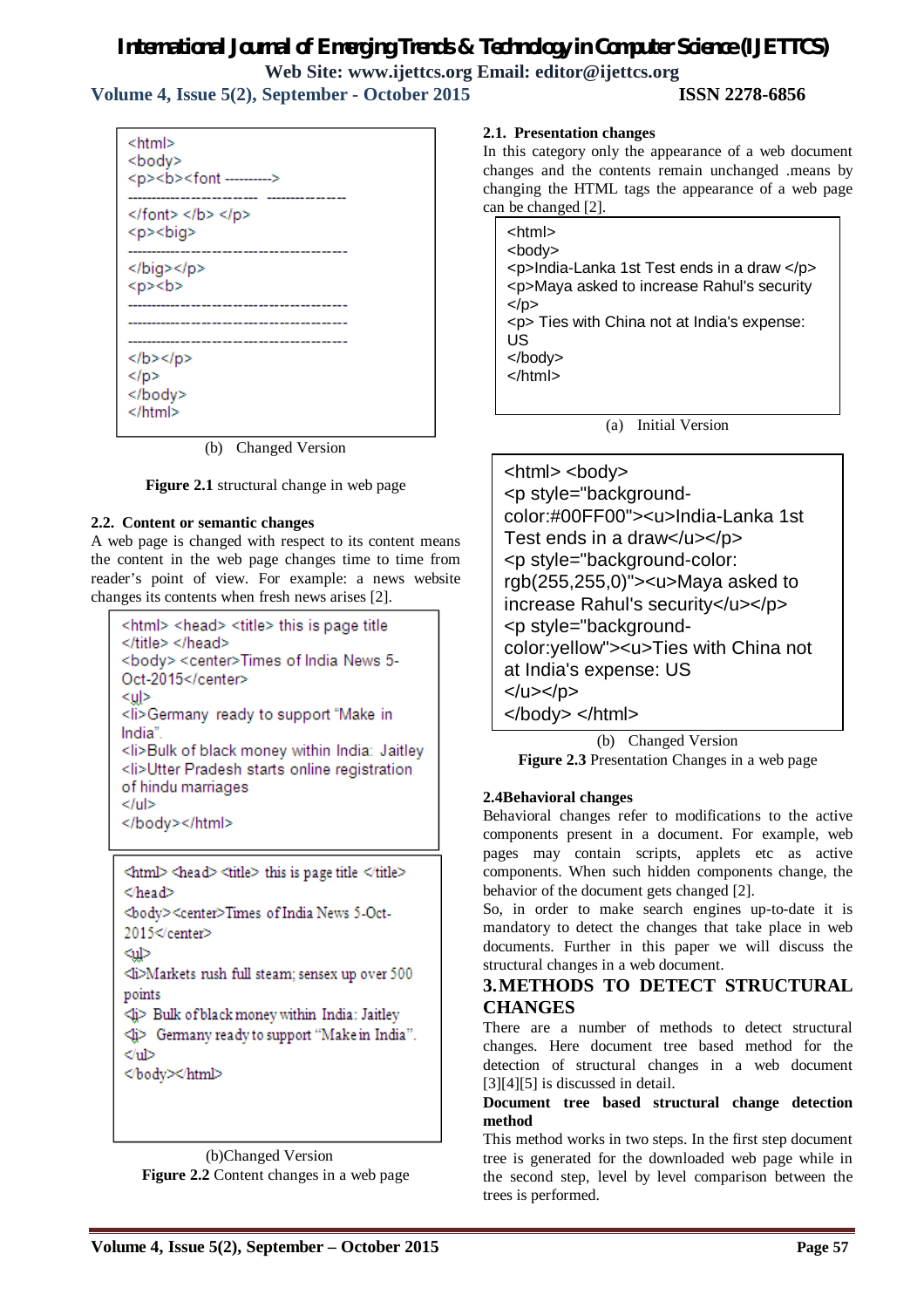# *International Journal of Emerging Trends & Technology in Computer Science (IJETTCS)*

**Web Site: www.ijettcs.org Email: editor@ijettcs.org Volume 4, Issue 5(2), September - October 2015 ISSN 2278-6856**

<html> <body>  $<$ p> $<$ b> $<$ font --------->  $<$ /font> $<$ /b> $<$ /p> <b><br/>>bia> . . . . . . . . . . . . . . . . . </big></p>  $<$ p> $<$ b>  $<$ /b> $<$ /p>  $<$ /p> </body>  $<$ /html>

(b) Changed Version

**Figure 2.1** structural change in web page

#### **2.2. Content or semantic changes**

A web page is changed with respect to its content means the content in the web page changes time to time from reader's point of view. For example: a news website changes its contents when fresh news arises [2].

```
<html> <head> <title> this is page title
</title> </head>
<body> <center>Times of India News 5-
Oct-2015</center>
<ul>
<li>Germany ready to support "Make in
India"
<li>Bulk of black money within India: Jaitley
<li>Utter Pradesh starts online registration
of hindu marriages
</ul>
</body></html>
```
<html> <head> <title> this is page title </title> </head> <body><center>Times of India News 5-Oct-2015</center> ⊲ա⊳ ⊲i>Markets rush full steam; sensex up over 500 points <li> Bulk of black money within India: Jaitley <li> Germany ready to support "Make in India".  $<$ ul>

</body></html>

 (b)Changed Version **Figure 2.2** Content changes in a web page

#### **2.1. Presentation changes**

In this category only the appearance of a web document changes and the contents remain unchanged .means by changing the HTML tags the appearance of a web page can be changed [2].

| <html><br/><body><br/><p>India-Lanka 1st Test ends in a draw </p><br/><p>Maya asked to increase Rahul's security<br/><math>&lt;</math>/p&gt;<br/><p> Ties with China not at India's expense:<br/>US<br/><math>&lt;</math>/body&gt;<br/><math>\epsilon</math>/htm<math>\vert</math>&gt;</p></p></body></html> |  |
|--------------------------------------------------------------------------------------------------------------------------------------------------------------------------------------------------------------------------------------------------------------------------------------------------------------|--|
|                                                                                                                                                                                                                                                                                                              |  |

(a) Initial Version

<html> <body> <p style="backgroundcolor:#00FF00"><u>India-Lanka 1st Test ends in a draw</u></p> <p style="background-color: rgb(255,255,0)"><u>Maya asked to increase Rahul's security</u></p> <p style="backgroundcolor:yellow"><u>Ties with China not at India's expense: US </u></p> </body> </html>

(b) Changed Version **Figure 2.3** Presentation Changes in a web page

#### **2.4Behavioral changes**

Behavioral changes refer to modifications to the active components present in a document. For example, web pages may contain scripts, applets etc as active components. When such hidden components change, the behavior of the document gets changed [2].

So, in order to make search engines up-to-date it is mandatory to detect the changes that take place in web documents. Further in this paper we will discuss the structural changes in a web document.

#### **3.METHODS TO DETECT STRUCTURAL CHANGES**

There are a number of methods to detect structural changes. Here document tree based method for the detection of structural changes in a web document [3][4][5] is discussed in detail.

#### **Document tree based structural change detection method**

This method works in two steps. In the first step document tree is generated for the downloaded web page while in the second step, level by level comparison between the trees is performed.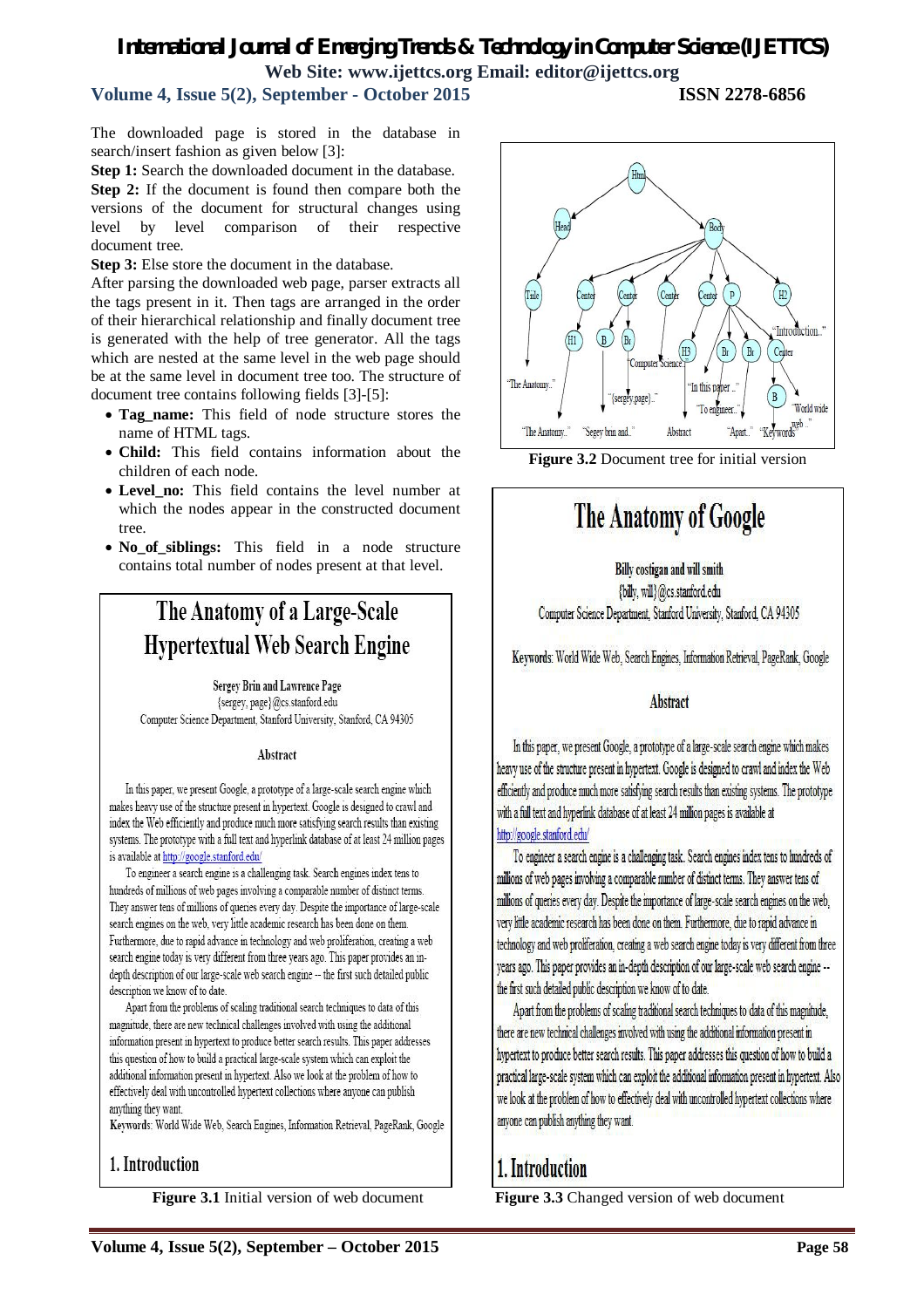# *International Journal of Emerging Trends & Technology in Computer Science (IJETTCS)* **Web Site: www.ijettcs.org Email: editor@ijettcs.org**

# **Volume 4, Issue 5(2), September - October 2015 ISSN 2278-6856**

The downloaded page is stored in the database in search/insert fashion as given below [3]:

**Step 1:** Search the downloaded document in the database. **Step 2:** If the document is found then compare both the versions of the document for structural changes using level by level comparison of their respective document tree.

**Step 3:** Else store the document in the database.

After parsing the downloaded web page, parser extracts all the tags present in it. Then tags are arranged in the order of their hierarchical relationship and finally document tree is generated with the help of tree generator. All the tags which are nested at the same level in the web page should be at the same level in document tree too. The structure of document tree contains following fields [3]-[5]:

- Tag name: This field of node structure stores the name of HTML tags.
- **Child:** This field contains information about the children of each node.
- **Level\_no:** This field contains the level number at which the nodes appear in the constructed document tree.
- **No\_of\_siblings:** This field in a node structure contains total number of nodes present at that level.

# The Anatomy of a Large-Scale **Hypertextual Web Search Engine**

Sergey Brin and Lawrence Page {sergey.page}@cs.stanford.edu Computer Science Department, Stanford University, Stanford, CA 94305

#### Abstract

In this paper, we present Google, a prototype of a large-scale search engine which makes heavy use of the structure present in hypertext. Google is designed to crawl and index the Web efficiently and produce much more satisfying search results than existing systems. The prototype with a full text and hyperlink database of at least 24 million pages is available at http://google.stanford.edu/

To engineer a search engine is a challenging task. Search engines index tens to hundreds of millions of web pages involving a comparable number of distinct terms. They answer tens of millions of queries every day. Despite the importance of large-scale search engines on the web, very little academic research has been done on them. Furthermore, due to rapid advance in technology and web proliferation, creating a web search engine today is very different from three years ago. This paper provides an indepth description of our large-scale web search engine -- the first such detailed public description we know of to date.

Apart from the problems of scaling traditional search techniques to data of this magnitude, there are new technical challenges involved with using the additional information present in hypertext to produce better search results. This paper addresses this question of how to build a practical large-scale system which can exploit the additional information present in hypertext. Also we look at the problem of how to effectively deal with uncontrolled hypertext collections where anyone can publish anything they want

Keywords: World Wide Web, Search Engines, Information Retrieval, PageRank, Google

# 1. Introduction

**Figure 3.1** Initial version of web document



**Figure 3.2** Document tree for initial version

# The Anatomy of Google

**Billy costigan and will smith** 

{billy, will}@cs.stanford.edu Computer Science Department, Stanford University, Stanford, CA 94305

Keywords: World Wide Web, Search Engines, Information Retrieval, PageRank, Google

# **Abstract**

In this paper, we present Google, a prototype of a large-scale search engine which makes heavy use of the structure present in hypertext. Google is designed to crawl and index the Web efficiently and produce much more satisfying search results than existing systems. The prototype with a full text and hyperlink database of at least 24 million pages is available at http://google.stanford.edu/

To engineer a search engine is a challenging task. Search engines index tens to hundreds of millions of web pages involving a comparable number of distinct terms. They answer tens of millions of queries every day. Despite the importance of large-scale search engines on the web, very little academic research has been done on them. Furthermore, due to rapid advance in technology and web proliferation, creating a web search engine today is very different from three years ago. This paper provides an in-depth description of our large-scale web search engine -the first such detailed public description we know of to date.

Apart from the problems of scaling traditional search techniques to data of this magnitude, there are new technical challenges involved with using the additional information present in hypertext to produce better search results. This paper addresses this question of how to build a practical large-scale system which can exploit the additional information present in hypertext. Also we look at the problem of how to effectively deal with uncontrolled hypertext collections where anyone can publish anything they want.

# 1. Introduction

**Figure 3.3** Changed version of web document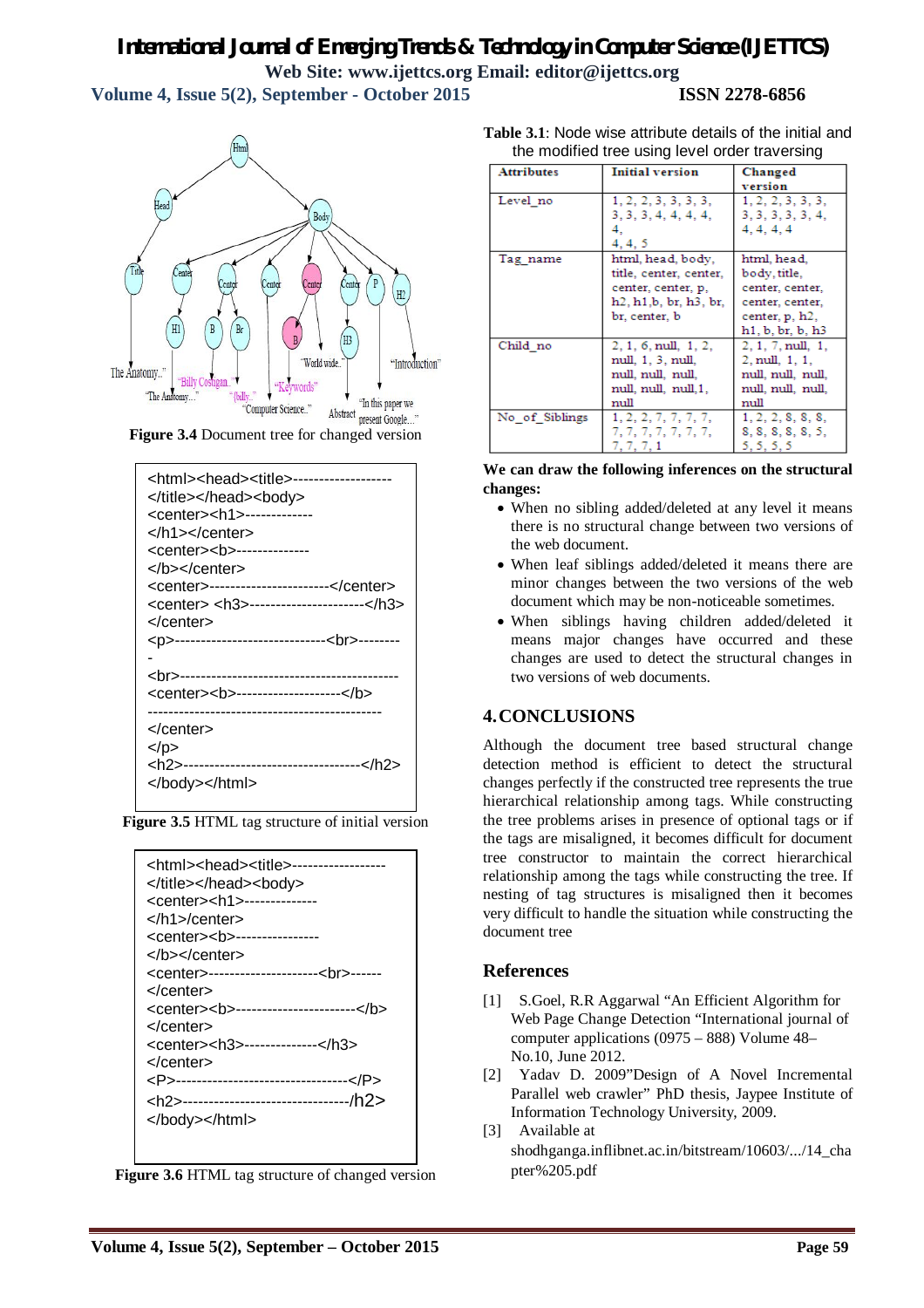# *International Journal of Emerging Trends & Technology in Computer Science (IJETTCS)* **Web Site: www.ijettcs.org Email: editor@ijettcs.org Volume 4, Issue 5(2), September - October 2015 ISSN 2278-6856**

Html **Rody** u١ "World wid "Introduction" The Anatomy. "Billy ( rords "The Anatomy... "In this paper we "Computer Science.." <sup>COMPUTE SCIENCE.</sup> Abstract present Google..."<br>**Figure 3.4** Document tree for changed version

| <html><head><title>--------------<br/></title></head><body><br/><center><h1>--------------<br/></h1></center><br/><center><b---------------<br></b---------------<br></center><br/><center>-----------------------</center><br/><center> <h3>-----------------------</h3><br/></center><br/><p>------------------------------<br/>--------<br/><br/>----------------------------------<br/><center><b---------------------< b=""><br/></b---------------------<></center></p></body></html> |
|---------------------------------------------------------------------------------------------------------------------------------------------------------------------------------------------------------------------------------------------------------------------------------------------------------------------------------------------------------------------------------------------------------------------------------------------------------------------------------------------|
| $<$ /p>                                                                                                                                                                                                                                                                                                                                                                                                                                                                                     |
|                                                                                                                                                                                                                                                                                                                                                                                                                                                                                             |



| <html><head><title>--------------<br/></title></head><body><br/><center><h1>---------------<br/></h1>/center&gt;<br/><center><b-----------------<br></b-----------------<br></center><br/><center>----------------------<br/>------<br/></center></center></body></html> |
|--------------------------------------------------------------------------------------------------------------------------------------------------------------------------------------------------------------------------------------------------------------------------|
| <center><b------------------------< b=""><br/></b------------------------<></center>                                                                                                                                                                                     |
| <center><h3>---------------</h3><br/></center>                                                                                                                                                                                                                           |
| <p>-----------------------------------</p>                                                                                                                                                                                                                               |
| <h2>----------------------------------/h2&gt;<br/></h2>                                                                                                                                                                                                                  |

**Figure 3.6** HTML tag structure of changed version

**Table 3.1**: Node wise attribute details of the initial and the modified tree using level order traversing

| <b>Attributes</b> | <b>Initial version</b>                                        | Changed                     |
|-------------------|---------------------------------------------------------------|-----------------------------|
|                   |                                                               | version                     |
| Level no          | 1, 2, 2, 3, 3, 3, 3,                                          | 1, 2, 2, 3, 3, 3,           |
|                   | 3, 3, 3, 4, 4, 4, 4,                                          | 3, 3, 3, 3, 3, 4,           |
|                   | 4.                                                            | 4, 4, 4, 4                  |
|                   | 4, 4, 5                                                       |                             |
| Tag name          | html, head, body,                                             | html, head,                 |
|                   | title, center, center,                                        | body, title,                |
|                   | center, center, p,                                            | center, center,             |
|                   | h <sub>2</sub> , h <sub>1</sub> , b, br, h <sub>3</sub> , br, | center, center,             |
|                   | br. center, b                                                 | center, p. h <sub>2</sub> , |
|                   |                                                               | h1, b, br, b, h3            |
| Child no          | $2, 1, 6, \text{null}, 1, 2,$                                 | $2, 1, 7, \text{null}, 1,$  |
|                   | null, 1, 3, null,                                             | 2. null. 1, 1.              |
|                   | null, null, null,                                             | null, null, null,           |
|                   | null, null, null, 1.                                          | null, null, null,           |
|                   | null                                                          | null                        |
| No of Siblings    | 1, 2, 2, 7, 7, 7, 7,                                          | 1, 2, 2, 8, 8, 8,           |
|                   | 7, 7, 7, 7, 7, 7, 7,                                          | 8, 8, 8, 8, 8, 5,           |
|                   | 7, 7, 7, 1                                                    | 5, 5, 5, 5                  |

#### **We can draw the following inferences on the structural changes:**

- When no sibling added/deleted at any level it means there is no structural change between two versions of the web document.
- When leaf siblings added/deleted it means there are minor changes between the two versions of the web document which may be non-noticeable sometimes.
- When siblings having children added/deleted it means major changes have occurred and these changes are used to detect the structural changes in two versions of web documents.

# **4.CONCLUSIONS**

Although the document tree based structural change detection method is efficient to detect the structural changes perfectly if the constructed tree represents the true hierarchical relationship among tags. While constructing the tree problems arises in presence of optional tags or if the tags are misaligned, it becomes difficult for document tree constructor to maintain the correct hierarchical relationship among the tags while constructing the tree. If nesting of tag structures is misaligned then it becomes very difficult to handle the situation while constructing the document tree

# **References**

- [1] S.Goel, R.R Aggarwal "An Efficient Algorithm for Web Page Change Detection "International journal of computer applications (0975 – 888) Volume 48– No.10, June 2012.
- [2] Yadav D. 2009"Design of A Novel Incremental Parallel web crawler" PhD thesis, Jaypee Institute of Information Technology University, 2009.
- [3] Available at shodhganga.inflibnet.ac.in/bitstream/10603/.../14\_cha pter%205.pdf